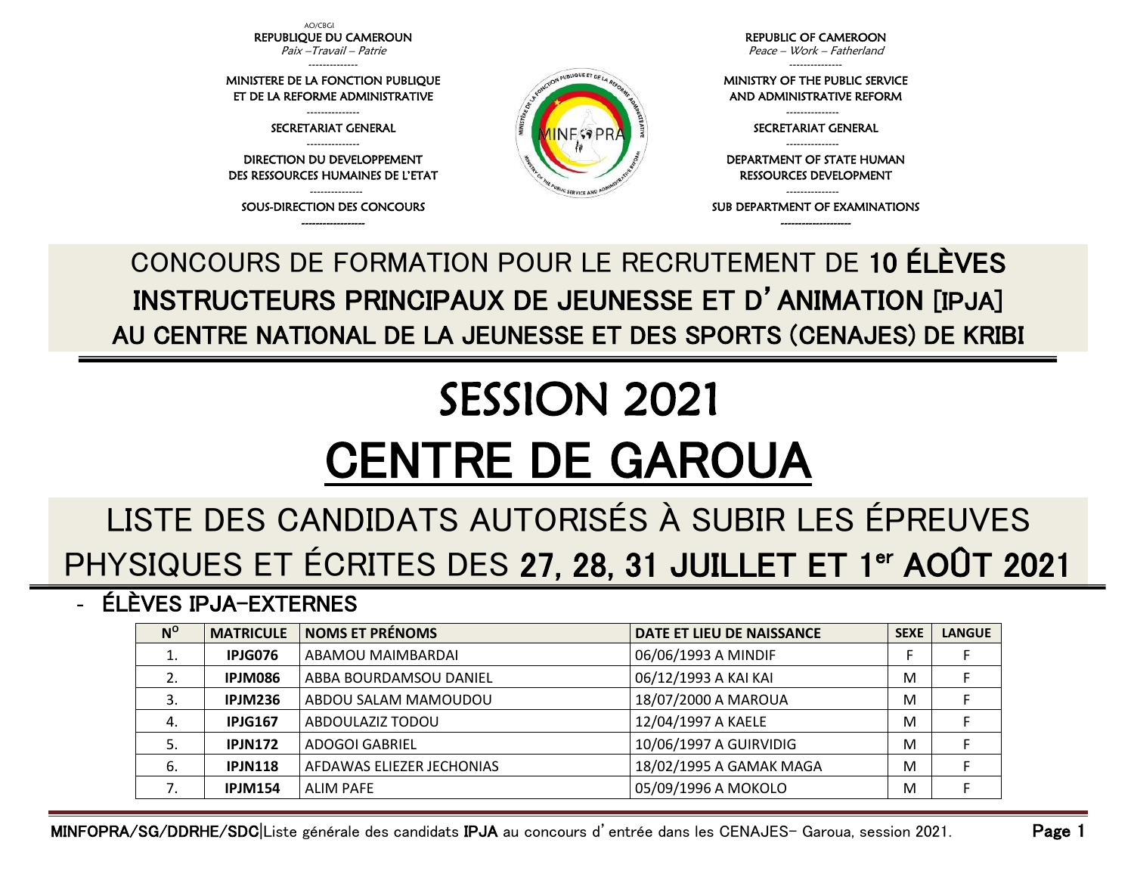AO/CBGI REPUBLIQUE DU CAMEROUN Paix –Travail – Patrie

-------------- MINISTERE DE LA FONCTION PUBLIQUE ET DE LA REFORME ADMINISTRATIVE --------------- SECRETARIAT GENERAL --------------- DIRECTION DU DEVELOPPEMENT DES RESSOURCES HUMAINES DE L'ETAT --------------- SOUS-DIRECTION DES CONCOURS

REPUBLIC OF CAMEROON Peace – Work – Fatherland

---------------

MINISTRY OF THE PUBLIC SERVICE AND ADMINISTRATIVE REFORM

> --------------- SECRETARIAT GENERAL ---------------

DEPARTMENT OF STATE HUMAN RESSOURCES DEVELOPMENT

--------------- SUB DEPARTMENT OF EXAMINATIONS

------------------ -------------------- CONCOURS DE FORMATION POUR LE RECRUTEMENT DE 10 ÉLÈVES INSTRUCTEURS PRINCIPAUX DE JEUNESSE ET D'ANIMATION [IPJA] AU CENTRE NATIONAL DE LA JEUNESSE ET DES SPORTS (CENAJES) DE KRIBI

N PUBLIQUE ET DE LA

SERVICE A

## SESSION 2021 CENTRE DE GAROUA

## LISTE DES CANDIDATS AUTORISÉS À SUBIR LES ÉPREUVES PHYSIQUES ET ÉCRITES DES 27, 28, 31 JUILLET ET 1<sup>er</sup> AOÛT 2021

- ÉLÈVES IPJA-EXTERNES

| $N^{\rm o}$ | <b>MATRICULE</b> | <b>NOMS ET PRÉNOMS</b>    | DATE ET LIEU DE NAISSANCE | <b>SEXE</b> | <b>LANGUE</b> |
|-------------|------------------|---------------------------|---------------------------|-------------|---------------|
| 1.          | IPJG076          | ABAMOU MAIMBARDAI         | 06/06/1993 A MINDIF       |             |               |
| 2.          | IPJM086          | ABBA BOURDAMSOU DANIEL    | 06/12/1993 A KAI KAI      | M           |               |
|             | IPJM236          | ABDOU SALAM MAMOUDOU      | 18/07/2000 A MAROUA       | M           |               |
| 4.          | <b>IPJG167</b>   | ABDOULAZIZ TODOU          | 12/04/1997 A KAELE        | M           |               |
| 5.          | <b>IPJN172</b>   | <b>ADOGOI GABRIEL</b>     | 10/06/1997 A GUIRVIDIG    | M           |               |
| 6.          | <b>IPJN118</b>   | AFDAWAS ELIEZER JECHONIAS | 18/02/1995 A GAMAK MAGA   | M           |               |
|             | <b>IPJM154</b>   | ALIM PAFE                 | 05/09/1996 A MOKOLO       | M           |               |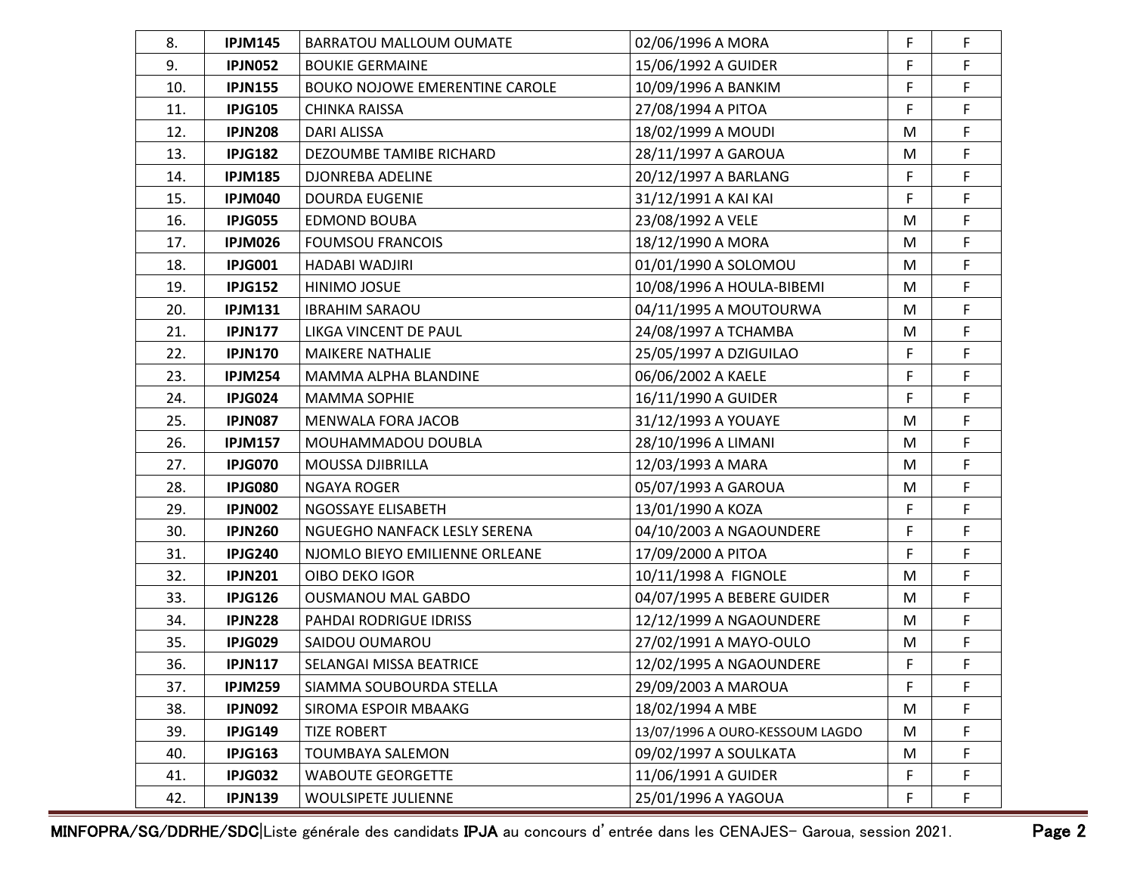| 8.  | <b>IPJM145</b> | BARRATOU MALLOUM OUMATE               | 02/06/1996 A MORA               | F  | F           |
|-----|----------------|---------------------------------------|---------------------------------|----|-------------|
| 9.  | <b>IPJN052</b> | <b>BOUKIE GERMAINE</b>                | 15/06/1992 A GUIDER             | F  | F           |
| 10. | <b>IPJN155</b> | <b>BOUKO NOJOWE EMERENTINE CAROLE</b> | 10/09/1996 A BANKIM             | F  | F           |
| 11. | <b>IPJG105</b> | <b>CHINKA RAISSA</b>                  | 27/08/1994 A PITOA              | F  | F           |
| 12. | <b>IPJN208</b> | DARI ALISSA                           | 18/02/1999 A MOUDI              | M  | F           |
| 13. | <b>IPJG182</b> | DEZOUMBE TAMIBE RICHARD               | 28/11/1997 A GAROUA             | M  | F           |
| 14. | <b>IPJM185</b> | DJONREBA ADELINE                      | 20/12/1997 A BARLANG            | F  | F           |
| 15. | <b>IPJM040</b> | <b>DOURDA EUGENIE</b>                 | 31/12/1991 A KAI KAI            | F  | $\mathsf F$ |
| 16. | <b>IPJG055</b> | <b>EDMOND BOUBA</b>                   | 23/08/1992 A VELE               | M  | F           |
| 17. | <b>IPJM026</b> | <b>FOUMSOU FRANCOIS</b>               | 18/12/1990 A MORA               | M  | F           |
| 18. | <b>IPJG001</b> | HADABI WADJIRI                        | 01/01/1990 A SOLOMOU            | M  | F           |
| 19. | <b>IPJG152</b> | HINIMO JOSUE                          | 10/08/1996 A HOULA-BIBEMI       | M  | F           |
| 20. | <b>IPJM131</b> | <b>IBRAHIM SARAOU</b>                 | 04/11/1995 A MOUTOURWA          | M  | F           |
| 21. | <b>IPJN177</b> | LIKGA VINCENT DE PAUL                 | 24/08/1997 A TCHAMBA            | M  | F           |
| 22. | <b>IPJN170</b> | <b>MAIKERE NATHALIE</b>               | 25/05/1997 A DZIGUILAO          | F  | F           |
| 23. | <b>IPJM254</b> | MAMMA ALPHA BLANDINE                  | 06/06/2002 A KAELE              | F  | F           |
| 24. | IPJG024        | <b>MAMMA SOPHIE</b>                   | 16/11/1990 A GUIDER             | F  | F           |
| 25. | <b>IPJN087</b> | MENWALA FORA JACOB                    | 31/12/1993 A YOUAYE             | M  | F           |
| 26. | <b>IPJM157</b> | MOUHAMMADOU DOUBLA                    | 28/10/1996 A LIMANI             | M  | F           |
| 27. | <b>IPJG070</b> | MOUSSA DJIBRILLA                      | 12/03/1993 A MARA               | M  | F           |
| 28. | <b>IPJG080</b> | <b>NGAYA ROGER</b>                    | 05/07/1993 A GAROUA             | M  | F           |
| 29. | <b>IPJN002</b> | NGOSSAYE ELISABETH                    | 13/01/1990 A KOZA               | F  | F           |
| 30. | <b>IPJN260</b> | NGUEGHO NANFACK LESLY SERENA          | 04/10/2003 A NGAOUNDERE         | F  | F           |
| 31. | <b>IPJG240</b> | NJOMLO BIEYO EMILIENNE ORLEANE        | 17/09/2000 A PITOA              | F  | F           |
| 32. | <b>IPJN201</b> | OIBO DEKO IGOR                        | 10/11/1998 A FIGNOLE            | M  | F           |
| 33. | <b>IPJG126</b> | <b>OUSMANOU MAL GABDO</b>             | 04/07/1995 A BEBERE GUIDER      | M  | F           |
| 34. | <b>IPJN228</b> | PAHDAI RODRIGUE IDRISS                | 12/12/1999 A NGAOUNDERE         | M  | F           |
| 35. | <b>IPJG029</b> | SAIDOU OUMAROU                        | 27/02/1991 A MAYO-OULO          | M  | F           |
| 36. | <b>IPJN117</b> | SELANGAI MISSA BEATRICE               | 12/02/1995 A NGAOUNDERE         | F  | F           |
| 37. | <b>IPJM259</b> | SIAMMA SOUBOURDA STELLA               | 29/09/2003 A MAROUA             | F  | F           |
| 38. | <b>IPJN092</b> | SIROMA ESPOIR MBAAKG                  | 18/02/1994 A MBE                | M  | F           |
| 39. | <b>IPJG149</b> | <b>TIZE ROBERT</b>                    | 13/07/1996 A OURO-KESSOUM LAGDO | M  | F           |
| 40. | <b>IPJG163</b> | TOUMBAYA SALEMON                      | 09/02/1997 A SOULKATA           | M  | F           |
| 41. | <b>IPJG032</b> | <b>WABOUTE GEORGETTE</b>              | 11/06/1991 A GUIDER             | F  | F           |
| 42. | <b>IPJN139</b> | WOULSIPETE JULIENNE                   | 25/01/1996 A YAGOUA             | F. | F.          |